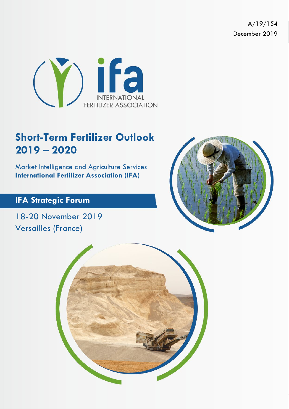A/19/154 December 2019



# **Short-Term Fertilizer Outlook 2019 – 2020**

Market Intelligence and Agriculture Services **International Fertilizer Association (IFA)**

### **IFA Strategic Forum**

18-20 November 2019 Versailles (France)



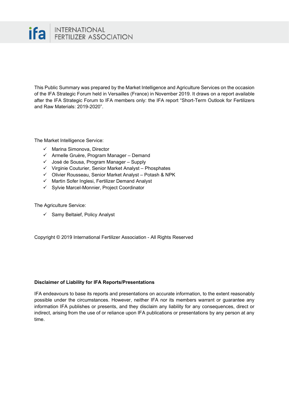

This Public Summary was prepared by the Market Intelligence and Agriculture Services on the occasion of the IFA Strategic Forum held in Versailles (France) in November 2019. It draws on a report available after the IFA Strategic Forum to IFA members only: the IFA report "Short-Term Outlook for Fertilizers and Raw Materials: 2019-2020".

The Market Intelligence Service:

- $\checkmark$  Marina Simonova, Director
- Armelle Gruère, Program Manager Demand
- $\checkmark$  José de Sousa, Program Manager Supply
- $\checkmark$  Virginie Couturier, Senior Market Analyst Phosphates
- Olivier Rousseau, Senior Market Analyst Potash & NPK
- $\checkmark$  Martin Sofer Inglesi, Fertilizer Demand Analyst
- $\checkmark$  Sylvie Marcel-Monnier, Project Coordinator

The Agriculture Service:

 $\checkmark$  Samy Beltaief, Policy Analyst

Copyright © 2019 International Fertilizer Association - All Rights Reserved

### **Disclaimer of Liability for IFA Reports/Presentations**

IFA endeavours to base its reports and presentations on accurate information, to the extent reasonably possible under the circumstances. However, neither IFA nor its members warrant or guarantee any information IFA publishes or presents, and they disclaim any liability for any consequences, direct or indirect, arising from the use of or reliance upon IFA publications or presentations by any person at any time.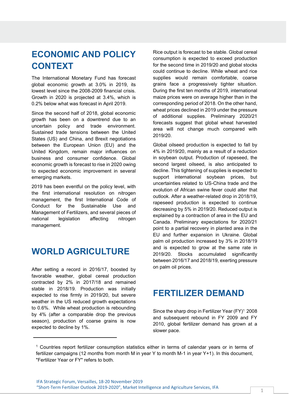## **ECONOMIC AND POLICY CONTEXT**

The International Monetary Fund has forecast global economic growth at 3.0% in 2019, its lowest level since the 2008-2009 financial crisis. Growth in 2020 is projected at 3.4%, which is 0.2% below what was forecast in April 2019.

Since the second half of 2018, global economic growth has been on a downtrend due to an uncertain policy and trade environment. Sustained trade tensions between the United States (US) and China, and Brexit negotiations between the European Union (EU) and the United Kingdom, remain major influences on business and consumer confidence. Global economic growth is forecast to rise in 2020 owing to expected economic improvement in several emerging markets.

2019 has been eventful on the policy level, with the first international resolution on nitrogen management, the first International Code of Conduct for the Sustainable Use and Management of Fertilizers, and several pieces of national legislation affecting nitrogen management.

### **WORLD AGRICULTURE**

After setting a record in 2016/17, boosted by favorable weather, global cereal production contracted by 2% in 2017/18 and remained stable in 2018/19. Production was initially expected to rise firmly in 2019/20, but severe weather in the US reduced growth expectations to 0.6%. While wheat production is rebounding by 4% (after a comparable drop the previous season), production of coarse grains is now expected to decline by 1%.

Rice output is forecast to be stable. Global cereal consumption is expected to exceed production for the second time in 2019/20 and global stocks could continue to decline. While wheat and rice supplies would remain comfortable, coarse grains face a progressively tighter situation. During the first ten months of 2019, international maize prices were on average higher than in the corresponding period of 2018. On the other hand, wheat prices declined in 2019 under the pressure of additional supplies. Preliminary 2020/21 forecasts suggest that global wheat harvested area will not change much compared with 2019/20.

Global oilseed production is expected to fall by 4% in 2019/20, mainly as a result of a reduction in soybean output. Production of rapeseed, the second largest oilseed, is also anticipated to decline. This tightening of supplies is expected to support international soybean prices, but uncertainties related to US-China trade and the evolution of African swine fever could alter that outlook. After a weather-related drop in 2018/19, rapeseed production is expected to continue decreasing by 5% in 2019/20. Reduced output is explained by a contraction of area in the EU and Canada. Preliminary expectations for 2020/21 point to a partial recovery in planted area in the EU and further expansion in Ukraine. Global palm oil production increased by 3% in 2018/19 and is expected to grow at the same rate in 2019/20. Stocks accumulated significantly between 2016/17 and 2018/19, exerting pressure on palm oil prices.

### **FERTILIZER DEMAND**

Since the sharp drop in Fertilizer Year (FY)<sup>1</sup> 2008 and subsequent rebound in FY 2009 and FY 2010, global fertilizer demand has grown at a slower pace.

<sup>1</sup> Countries report fertilizer consumption statistics either in terms of calendar years or in terms of fertilizer campaigns (12 months from month M in year Y to month M-1 in year Y+1). In this document, "Fertilizer Year or FY" refers to both.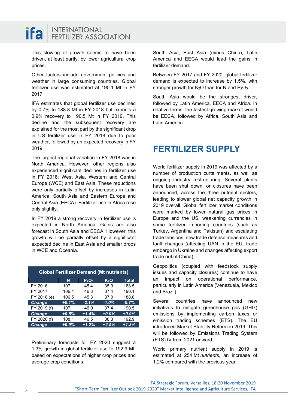

This slowing of growth seems to have been driven, at least partly, by lower agricultural crop prices.

Other factors include government policies and weather in large consuming countries. Global fertilizer use was estimated at 190.1 Mt in FY 2017.

IFA estimates that global fertilizer use declined by 0.7% to 188.8 Mt in FY 2018 but expects a 0.9% recovery to 190.5 Mt in FY 2019. This decline and the subsequent recovery are explained for the most part by the significant drop in US fertilizer use in FY 2018 due to poor weather, followed by an expected recovery in FY 2019.

The largest regional variation in FY 2018 was in North America. However, other regions also experienced significant declines in fertilizer use in FY 2018: West Asia, Western and Central Europe (WCE) and East Asia. These reductions were only partially offset by increases in Latin America, South Asia and Eastern Europe and Central Asia (EECA). Fertilizer use in Africa rose only slightly.

In FY 2019 a strong recovery in fertilizer use is expected in North America. Gains are also forecast in South Asia and EECA. However, this growth will be partially offset by a significant expected decline in East Asia and smaller drops in WCE and Oceania.

| <b>Global Fertilizer Demand (Mt nutrients)</b> |         |                               |                  |              |
|------------------------------------------------|---------|-------------------------------|------------------|--------------|
|                                                | N       | P <sub>2</sub> O <sub>5</sub> | K <sub>2</sub> O | <b>Total</b> |
| FY 2016                                        | 107.1   | 45.4                          | 35.9             | 188.5        |
| FY 2017                                        | 106.4   | 46.3                          | 37.4             | 190.1        |
| FY 2018 (e)                                    | 106.5   | 45.3                          | 37.0             | 188.8        |
| <b>Change</b>                                  | $+0.1%$ | $-2.1%$                       | $-1.0%$          | $-0.7%$      |
| FY 2019 (f)                                    | 107.1   | 46.0                          | 37.4             | 190.5        |
| <b>Change</b>                                  | $+0.6%$ | $+1.4%$                       | $+0.9%$          | $+0.9%$      |
| FY 2020 (f)                                    | 108.1   | 46.5                          | 38.3             | 192.9        |
| <b>Change</b>                                  | $+0.9%$ | $+1.2%$                       | $+2.5%$          | $+1.3%$      |

Preliminary forecasts for FY 2020 suggest a 1.3% growth in global fertilizer use to 192.9 Mt, based on expectations of higher crop prices and average crop conditions.

South Asia, East Asia (minus China), Latin America and EECA would lead the gains in fertilizer demand.

Between FY 2017 and FY 2020, global fertilizer demand is expected to increase by 1.5%, with stronger growth for  $K_2O$  than for N and  $P_2O_5$ .

South Asia would be the strongest driver, followed by Latin America, EECA and Africa. In relative terms, the fastest growing market would be EECA, followed by Africa, South Asia and Latin America.

### **FERTILIZER SUPPLY**

World fertilizer supply in 2019 was affected by a number of production curtailments, as well as ongoing industry restructuring. Several plants have been shut down, or closures have been announced, across the three nutrient sectors, leading to slower global net capacity growth in 2019 overall. Global fertilizer market conditions were marked by lower natural gas prices in Europe and the US, weakening currencies in some fertilizer importing countries (such as Turkey, Argentina and Pakistan) and escalating trade tensions, new trade defense measures and tariff changes (affecting UAN in the EU, trade embargo in Ukraine and changes affecting export trade out of China).

Geopolitics (coupled with feedstock supply issues and capacity closures) continue to have an impact on operational performance, particularly in Latin America (Venezuela, Mexico and Brazil).

Several countries have announced new initiatives to mitigate greenhouse gas (GHG) emissions by implementing carbon taxes or emission trading schemes (ETS). The EU introduced Market Stability Reform in 2019. This will be followed by Emissions Trading System (ETS) IV from 2021 onward.

World primary nutrient supply in 2019 is estimated at 254 Mt *nutrients*, an increase of 1.2% compared with the previous year.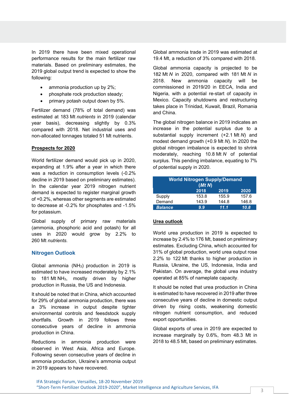In 2019 there have been mixed operational performance results for the main fertilizer raw materials. Based on preliminary estimates, the 2019 global output trend is expected to show the following:

- ammonia production up by 2%;
- phosphate rock production steady;
- primary potash output down by 5%.

Fertilizer demand (78% of total demand) was estimated at 183 Mt *nutrients* in 2019 (calendar year basis), decreasing slightly by 0.3% compared with 2018. Net industrial uses and non-allocated tonnages totaled 51 Mt nutrients.

#### **Prospects for 2020**

World fertilizer demand would pick up in 2020, expanding at 1.9% after a year in which there was a reduction in consumption levels (-0.2% decline in 2019 based on preliminary estimates). In the calendar year 2019 nitrogen nutrient demand is expected to register marginal growth of +0.2%, whereas other segments are estimated to decrease at -0.2% for phosphates and -1.5% for potassium.

Global supply of primary raw materials (ammonia, phosphoric acid and potash) for all uses in 2020 would grow by 2.2% to 260 Mt *nutrients.*

### **Nitrogen Outlook**

Global ammonia (NH3) production in 2019 is estimated to have increased moderately by 2.1% to 181 Mt NH3, mostly driven by higher production in Russia, the US and Indonesia.

It should be noted that in China, which accounted for 29% of global ammonia production, there was a 3% increase in output despite tighter environmental controls and feesdstock supply shortfalls. Growth in 2019 follows three consecutive years of decline in ammonia production in China.

Reductions in ammonia production were observed in West Asia, Africa and Europe. Following seven consecutive years of decline in ammonia production, Ukraine's ammonia output in 2019 appears to have recovered.

Global ammonia trade in 2019 was estimated at 19.4 Mt, a reduction of 3% compared with 2018.

Global ammonia capacity is projected to be 182 Mt *N* in 2020, compared with 181 Mt *N* in 2018. New ammonia capacity will be commissioned in 2019/20 in EECA, India and Nigeria, with a potential re-start of capacity in Mexico. Capacity shutdowns and restructuring takes place in Trinidad, Kuwait, Brazil, Romania and China.

The global nitrogen balance in 2019 indicates an increase in the potential surplus due to a substantial supply increment (+2.1 Mt *N*) and modest demand growth (+0.9 Mt *N*). In 2020 the global nitrogen imbalance is expected to shrink moderately, reaching 10.8 Mt *N* of potential surplus. This pending imbalance, equating to 7% of potential supply in 2020.

| <b>World Nitrogen Supply/Demand</b><br>(Mt N) |       |       |       |
|-----------------------------------------------|-------|-------|-------|
|                                               | 2018  | 2019  | 2020  |
| Supply                                        | 153.8 | 155.9 | 157.6 |
| Demand                                        | 143.9 | 144.8 | 146.8 |
| <b>Balance</b>                                | 9.9   | 11.1  | 10.8  |

### **Urea outlook**

World urea production in 2019 is expected to increase by 2.4% to 176 Mt, based on preliminary estimates. Excluding China, which accounted for 31% of global production, world urea output rose 2.2% to 122 Mt thanks to higher production in Russia, Ukraine, the US, Indonesia, India and Pakistan. On average, the global urea industry operated at 85% of nameplate capacity.

It should be noted that urea production in China is estimated to have recovered in 2019 after three consecutive years of decline in domestic output driven by rising costs, weakening domestic nitrogen nutrient consumption, and reduced export opportunities.

Global exports of urea in 2019 are expected to increase marginally by 0.6%, from 48.3 Mt in 2018 to 48.5 Mt, based on preliminary estimates.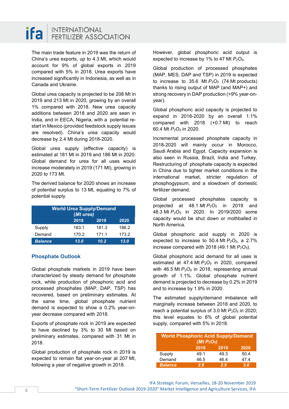

The main trade feature in 2019 was the return of China's urea exports, up to 4.3 Mt, which would account for 9% of global exports in 2019 compared with 5% in 2018. Urea exports have increased significantly in Indonesia, as well as in Canada and Ukraine.

Global urea capacity is projected to be 208 Mt in 2019 and 213 Mt in 2020, growing by an overall 1% compared with 2018. New urea capacity additions between 2018 and 2020 are seen in India, and in EECA, Nigeria, with a potential restart in Mexico (provided feedstock supply issues are resolved). China's urea capacity would decrease by 2.4 Mt during 2018-2020.

Global urea supply (effective capacity) is estimated at 181 Mt in 2019 and 186 Mt in 2020. Global demand for urea for all uses would increase moderately in 2019 (171 Mt), growing in 2020 to 173 Mt.

The derived balance for 2020 shows an increase of potential surplus to 13 Mt, equating to 7% of potential supply.

| <b>World Urea Supply/Demand</b><br>(Mt urea) |       |       |       |
|----------------------------------------------|-------|-------|-------|
|                                              | 2018  | 2019  | 2020  |
| Supply                                       | 183.1 | 181.3 | 186.2 |
| Demand                                       | 170.2 | 171.1 | 173.2 |
| <b>Balance</b>                               | 13.0  | 10.2  | 13.0  |

### **Phosphate Outlook**

Global phosphate markets in 2019 have been characterized by steady demand for phosphate rock, while production of phosphoric acid and processed phosphates (MAP, DAP, TSP) has recovered, based on preliminary estimates. At the same time, global phosphate nutrient demand is expected to show a 0.2% year-onyear decrease compared with 2018.

Exports of phosphate rock in 2019 are expected to have declined by 3% to 30 Mt based on preliminary estimates, compared with 31 Mt in 2018.

Global production of phosphate rock in 2019 is expected to remain flat year-on-year at 207 Mt, following a year of negative growth in 2018.

However, global phosphoric acid output is expected to increase by 1% to 47 Mt  $P_2O_5$ .

Global production of processed phosphates (MAP, MES, DAP and TSP) in 2019 is expected to increase to 35.6 Mt  $P_2O_5$  (74 Mt products) thanks to rising output of MAP (and MAP+) and strong recovery in DAP production (+9% year-onyear).

Global phosphoric acid capacity is projected to expand in 2018-2020 by an overall 1.1% compared with 2018 (+0.7 Mt) to reach 60.4 Mt *P2O5* in 2020.

Incremental processed phosphate capacity in 2018-2020 will mainly occur in Morocco, Saudi Arabia and Egypt. Capacity expansion is also seen in Russia, Brazil, India and Turkey. Restructuring of phosphate capacity is expected in China due to tighter market conditions in the international market, stricter regulation of phosphogypsum, and a slowdown of domestic fertilizer demand.

Global processed phosphates capacity is projected at 48.1 *Mt P2O5* in 2019 and 48.3 Mt *P2O5* in 2020. In 2019/2020 some capacity would be shut down or mothballed in North America.

Global phosphoric acid supply in 2020 is expected to increase to 50.4 Mt  $P_2O_5$ , a 2.7% increase compared with 2018 (49.1 Mt  $P_2O_5$ ).

Global phosphoric acid demand for all uses is estimated at 47.4 Mt  $P_2O_5$  in 2020, compared with 46.5 Mt  $P_2O_5$  in 2018, representing annual growth of 1.1%. Global phosphate nutrient demand is projected to decrease by 0.2% in 2019 and to increase by 1.9% in 2020.

The estimated supply/demand imbalance will marginally increase between 2018 and 2020, to reach a potential surplus of 3.0 Mt  $P_2O_5$  in 2020; this level equates to 6% of global potential supply, compared with 5% in 2018.

| <b>World Phosphoric Acid Supply/Demand</b><br>(Mt $P_2O_5$ ) |      |      |      |
|--------------------------------------------------------------|------|------|------|
|                                                              | 2018 | 2019 | 2020 |
| Supply                                                       | 49.1 | 49.3 | 50.4 |
| Demand                                                       | 46.5 | 46.4 | 47.4 |
| <b>Balance</b>                                               | 2.6  | 2.9  | 3.0  |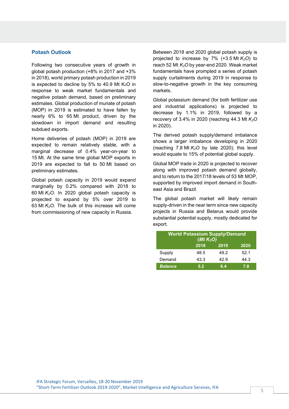### **Potash Outlook**

Following two consecutive years of growth in global potash production (+8% in 2017 and +3% in 2018), world primary potash production in 2019 is expected to decline by 5% to 40.9 Mt  $K<sub>2</sub>O$  in response to weak market fundamentals and negative potash demand, based on preliminary estimates. Global production of muriate of potash (MOP) in 2019 is estimated to have fallen by nearly 6% to 65 Mt product, driven by the slowdown in import demand and resulting subdued exports.

Home deliveries of potash (MOP) in 2019 are expected to remain relatively stable, with a marginal decrease of 0.4% year-on-year to 15 Mt. At the same time global MOP exports in 2019 are expected to fall to 50 Mt based on preliminary estimates.

Global potash capacity in 2019 would expand marginally by 0.2% compared with 2018 to 60 Mt *K2O*. In 2020 global potash capacity is projected to expand by 5% over 2019 to 63 Mt  $K<sub>2</sub>O$ . The bulk of this increase will come from commissioning of new capacity in Russia.

Between 2018 and 2020 global potash supply is projected to increase by  $7\%$  (+3.5 Mt  $K_2O$ ) to reach 52 Mt *K2O* by year-end 2020. Weak market fundamentals have prompted a series of potash supply curtailments during 2019 in response to slow-to-negative growth in the key consuming markets.

Global potassium demand (for both fertilizer use and industrial applications) is projected to decrease by 1.1% in 2019, followed by a recovery of 3.4% in 2020 (reaching 44.3 Mt *K2O* in 2020).

The derived potash supply/demand imbalance shows a larger imbalance developing in 2020 (reaching  $7.8$  Mt  $K<sub>2</sub>O$  by late 2020); this level would equate to 15% of potential global supply.

Global MOP trade in 2020 is projected to recover along with improved potash demand globally, and to return to the 2017/18 levels of 53 Mt MOP, supported by improved import demand in Southeast Asia and Brazil.

The global potash market will likely remain supply-driven in the near term since new capacity projects in Russia and Belarus would provide substantial potential supply, mostly dedicated for export.

| <b>World Potassium Supply/Demand</b><br>(Mt $K_2O$ ) |      |      |      |
|------------------------------------------------------|------|------|------|
|                                                      | 2018 | 2019 | 2020 |
| Supply                                               | 48.5 | 49.2 | 52.1 |
| Demand                                               | 43.3 | 42.9 | 44.3 |
| <b>Balance</b>                                       | 5.2  | 6.4  | 7.8  |